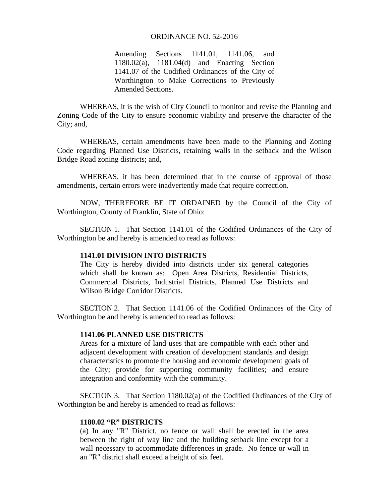#### ORDINANCE NO. 52-2016

Amending Sections 1141.01, 1141.06, and 1180.02(a), 1181.04(d) and Enacting Section 1141.07 of the Codified Ordinances of the City of Worthington to Make Corrections to Previously Amended Sections.

WHEREAS, it is the wish of City Council to monitor and revise the Planning and Zoning Code of the City to ensure economic viability and preserve the character of the City; and,

 WHEREAS, certain amendments have been made to the Planning and Zoning Code regarding Planned Use Districts, retaining walls in the setback and the Wilson Bridge Road zoning districts; and,

 WHEREAS, it has been determined that in the course of approval of those amendments, certain errors were inadvertently made that require correction.

NOW, THEREFORE BE IT ORDAINED by the Council of the City of Worthington, County of Franklin, State of Ohio:

 SECTION 1. That Section 1141.01 of the Codified Ordinances of the City of Worthington be and hereby is amended to read as follows:

#### **1141.01 DIVISION INTO DISTRICTS**

The City is hereby divided into districts under six general categories which shall be known as: Open Area Districts, Residential Districts, Commercial Districts, Industrial Districts, Planned Use Districts and Wilson Bridge Corridor Districts.

SECTION 2. That Section 1141.06 of the Codified Ordinances of the City of Worthington be and hereby is amended to read as follows:

## **1141.06 PLANNED USE DISTRICTS**

Areas for a mixture of land uses that are compatible with each other and adjacent development with creation of development standards and design characteristics to promote the housing and economic development goals of the City; provide for supporting community facilities; and ensure integration and conformity with the community.

 SECTION 3. That Section 1180.02(a) of the Codified Ordinances of the City of Worthington be and hereby is amended to read as follows:

## **1180.02 "R" DISTRICTS**

(a) In any "R" District, no fence or wall shall be erected in the area between the right of way line and the building setback line except for a wall necessary to accommodate differences in grade. No fence or wall in an "R" district shall exceed a height of six feet.